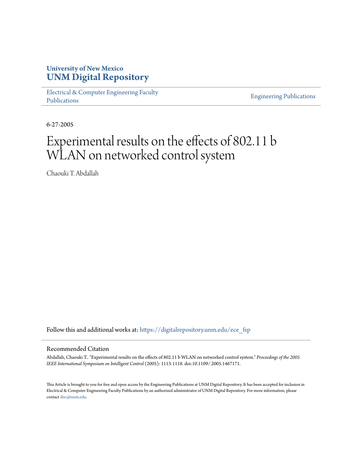# **University of New Mexico [UNM Digital Repository](https://digitalrepository.unm.edu?utm_source=digitalrepository.unm.edu%2Fece_fsp%2F199&utm_medium=PDF&utm_campaign=PDFCoverPages)**

[Electrical & Computer Engineering Faculty](https://digitalrepository.unm.edu/ece_fsp?utm_source=digitalrepository.unm.edu%2Fece_fsp%2F199&utm_medium=PDF&utm_campaign=PDFCoverPages) [Publications](https://digitalrepository.unm.edu/ece_fsp?utm_source=digitalrepository.unm.edu%2Fece_fsp%2F199&utm_medium=PDF&utm_campaign=PDFCoverPages)

[Engineering Publications](https://digitalrepository.unm.edu/eng_fsp?utm_source=digitalrepository.unm.edu%2Fece_fsp%2F199&utm_medium=PDF&utm_campaign=PDFCoverPages)

6-27-2005

# Experimental results on the effects of 802.11 b WLAN on networked control system

Chaouki T. Abdallah

Follow this and additional works at: [https://digitalrepository.unm.edu/ece\\_fsp](https://digitalrepository.unm.edu/ece_fsp?utm_source=digitalrepository.unm.edu%2Fece_fsp%2F199&utm_medium=PDF&utm_campaign=PDFCoverPages)

# Recommended Citation

Abdallah, Chaouki T.. "Experimental results on the effects of 802.11 b WLAN on networked control system." *Proceedings of the 2005 IEEE International Symposium on Intelligent Control* (2005): 1113-1118. doi:10.1109/.2005.1467171.

This Article is brought to you for free and open access by the Engineering Publications at UNM Digital Repository. It has been accepted for inclusion in Electrical & Computer Engineering Faculty Publications by an authorized administrator of UNM Digital Repository. For more information, please contact [disc@unm.edu.](mailto:disc@unm.edu)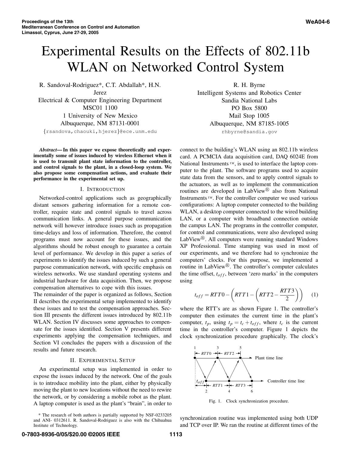# Experimental Results on the Effects of 802.11b WLAN on Networked Control System

R. Sandoval-Rodriguez\*, C.T. Abdallah\*, H.N. Jerez Electrical & Computer Engineering Department MSC01 1100 1 University of New Mexico Albuquerque, NM 87131-0001

{rsandova,chaouki,hjerez}@ece.unm.edu

*Abstract***— In this paper we expose theoretically and experimentally some of issues induced by wireless Ethernet when it is used to transmit plant state information to the controller, and control signals to the plant, in a closed-loop system. We also propose some compensation actions, and evaluate their performance in the experimental set up.**

#### I. INTRODUCTION

Networked-control applications such as geographically distant sensors gathering information for a remote controller, require state and control signals to travel across communication links. A general purpose communication network will however introduce issues such as propagation time-delays and loss of information. Therefore, the control programs must now account for these issues, and the algorithms should be robust enough to guarantee a certain level of performance. We develop in this paper a series of experiments to identify the issues induced by such a general purpose communication network, with specific emphasis on wireless networks. We use standard operating systems and industrial hardware for data acquisition. Then, we propose compensation alternatives to cope with this issues.

The remainder of the paper is organized as follows, Section II describes the experimental setup implemented to identify these issues and to test the compensation approaches. Section III presents the different issues introduced by 802.11b WLAN. Section IV discusses some approaches to compensate for the issues identified. Section V presents different experiments applying the compensation techniques, and Section VI concludes the papers with a discussion of the results and future research.

### II. EXPERIMENTAL SETUP

An experimental setup was implemented in order to expose the issues induced by the network. One of the goals is to introduce mobility into the plant, either by physically moving the plant to new locations without the need to rewire the network, or by considering a mobile robot as the plant. A laptop computer is used as the plant's "brain", in order to

\* The research of both authors is partially supported by NSF-0233205 and ANI- 0312611. R. Sandoval-Rodriguez is also with the Chihuahua Institute of Technology.

R. H. Byrne Intelligent Systems and Robotics Center Sandia National Labs PO Box 5800 Mail Stop 1005 Albuquerque, NM 87185-1005 rhbyrne@sandia.gov

connect to the building's WLAN using an 802.11b wireless card. A PCMCIA data acquisition card, DAQ 6024E from National Instruments  $^{TM}$ , is used to interface the laptop computer to the plant. The software programs used to acquire state data from the sensors, and to apply control signals to the actuators, as well as to implement the communication routines are developed in  $LabView^{\circledR}$  also from National Instruments  $^{TM}$ . For the controller computer we used various configurations: A laptop computer connected to the building WLAN, a desktop computer connected to the wired building LAN, or a computer with broadband connection outside the campus LAN. The programs in the controller computer, for control and communications, were also developed using  $LabView^{(B)}$ . All computers were running standard Windows XP Professional. Time stamping was used in most of our experiments, and we therefore had to synchronize the computers' clocks. For this purpose, we implemented a routine in LabView<sup>®</sup>. The controller's computer calculates the time offset,  $t_{off}$ , between 'zero marks' in the computers using

$$
t_{off} = RTT0 - \left(RTT1 - \left(RTT2 - \frac{RTT3}{2}\right)\right) \tag{1}
$$

where the RTT's are as shown Figure 1. The controller's computer then estimates the current time in the plant's computer,  $t_p$ , using  $t_p = t_c + t_{off}$ , where  $t_c$  is the current time in the controller's computer. Figure 1 depicts the clock synchronization procedure graphically. The clock's



Fig. 1. Clock synchronization procedure.

synchronization routine was implemented using both UDP and TCP over IP. We ran the routine at different times of the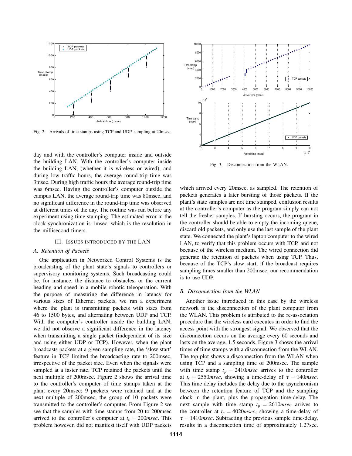

Fig. 2. Arrivals of time stamps using TCP and UDP, sampling at 20msec.

day and with the controller's computer inside and outside the building LAN. With the controller's computer inside the building LAN, (whether it is wireless or wired), and during low traffic hours, the average round-trip time was 3msec. During high traffic hours the average round-trip time was 6msec. Having the controller's computer outside the campus LAN, the average round-trip time was 80msec, and no significant difference in the round-trip time was observed at different times of the day. The routine was run before any experiment using time stamping. The estimated error in the clock synchronization is 1msec, which is the resolution in the millisecond timers.

## III. ISSUES INTRODUCED BY THE LAN

# *A. Retention of Packets*

One application in Networked Control Systems is the broadcasting of the plant state's signals to controllers or supervisory monitoring systems. Such broadcasting could be, for instance, the distance to obstacles, or the current heading and speed in a mobile robotic teleoperation. With the purpose of measuring the difference in latency for various sizes of Ethernet packets, we ran a experiment where the plant is transmitting packets with sizes from 46 to 1500 bytes, and alternating between UDP and TCP. With the computer's controller inside the building LAN, we did not observe a significant difference in the latency when transmitting a single packet (independent of its size and using either UDP or TCP). However, when the plant broadcasts packets at a given sampling rate, the 'slow start' feature in TCP limited the broadcasting rate to 200msec, irrespective of the packet size. Even when the signals were sampled at a faster rate, TCP retained the packets until the next multiple of 200msec. Figure 2 shows the arrival time to the controller's computer of time stamps taken at the plant every 20msec; 9 packets were retained and at the next multiple of 200msec, the group of 10 packets were transmitted to the controller's computer. From Figure 2 we see that the samples with time stamps from 20 to 200msec arrived to the controller's computer at  $t_c = 200$ *msec*. This problem however, did not manifest itself with UDP packets



Fig. 3. Disconnection from the WLAN.

which arrived every 20msec, as sampled. The retention of packets generates a later bursting of those packets. If the plant's state samples are not time stamped, confusion results at the controller's computer as the program simply can not tell the fresher samples. If bursting occurs, the program in the controller should be able to empty the incoming queue, discard old packets, and only use the last sample of the plant state. We connected the plant's laptop computer to the wired LAN, to verify that this problem occurs with TCP, and not because of the wireless medium. The wired connection did generate the retention of packets when using TCP. Thus, because of the TCP's slow start, if the broadcast requires sampling times smaller than 200msec, our recommendation is to use UDP.

#### *B. Disconnection from the WLAN*

Another issue introduced in this case by the wireless network is the disconnection of the plant computer from the WLAN. This problem is attributed to the re-association procedure that the wireless card executes in order to find the access point with the strongest signal. We observed that the disconnection occurs on the average every 60 seconds and lasts on the average, 1.5 seconds. Figure 3 shows the arrival times of time stamps with a disconnection from the WLAN. The top plot shows a disconnection from the WLAN when using TCP and a sampling time of 200msec. The sample with time stamp  $t_p = 2410$ *msec* arrives to the controller at  $t_c = 2550$ *msec*, showing a time-delay of  $\tau = 140$ *msec*. This time delay includes the delay due to the asynchronism between the retention feature of TCP and the sampling clock in the plant, plus the propagation time-delay. The next sample with time stamp  $t_p = 2610$ *msec* arrives to the controller at  $t_c = 4020$ *msec*, showing a time-delay of  $\tau = 1410$ *msec*. Subtracting the previous sample time-delay, results in a disconnection time of approximately 1.27sec.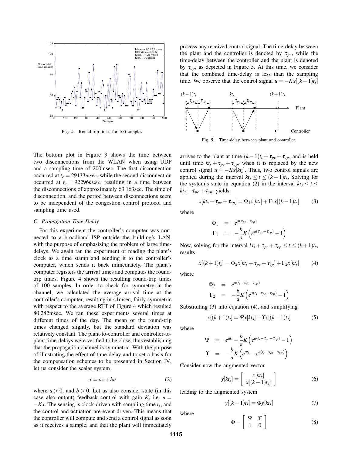

Fig. 4. Round-trip times for 100 samples.

The bottom plot in Figure 3 shows the time between two disconnections from the WLAN when using UDP and a sampling time of 200msec. The first disconnection occurred at  $t_c = 29133$ *msec*, while the second disconnection occurred at  $t_c = 92296$ *msec*, resulting in a time between the disconnections of approximately 63.163sec. The time of disconnection, and the period between disconnections seem to be independent of the congestion control protocol and sampling time used.

#### *C. Propagation Time-Delay*

For this experiment the controller's computer was connected to a broadband ISP outside the building's LAN, with the purpose of emphasizing the problem of large timedelays. We again ran the experiment of reading the plant's clock as a time stamp and sending it to the controller's computer, which sends it back immediately. The plant's computer registers the arrival times and computes the roundtrip times. Figure 4 shows the resulting round-trip times of 100 samples. In order to check for symmetry in the channel, we calculated the average arrival time at the controller's computer, resulting in 41msec, fairly symmetric with respect to the average RTT of Figure 4 which resulted 80.282msec. We ran these experiments several times at different times of the day. The mean of the round-trip times changed slightly, but the standard deviation was relatively constant. The plant-to-controller and controller-toplant time-delays were verified to be close, thus establishing that the propagation channel is symmetric. With the purpose of illustrating the effect of time-delay and to set a basis for the compensation schemes to be presented in Section IV, let us consider the scalar system

$$
\dot{x} = ax + bu \tag{2}
$$

where  $a > 0$ , and  $b > 0$ . Let us also consider state (in this case also output) feedback control with gain  $K$ , i.e.  $u =$ −*Kx*. The sensing is clock-driven with sampling time *ts*, and the control and actuation are event-driven. This means that the controller will compute and send a control signal as soon as it receives a sample, and that the plant will immediately

process any received control signal. The time-delay between the plant and the controller is denoted by  $\tau_{pc}$ , while the time-delay between the controller and the plant is denoted by  $\tau_{cp}$ , as depicted in Figure 5. At this time, we consider that the combined time-delay is less than the sampling time. We observe that the control signal  $u = -Kx[(k-1)t_s]$ 



Fig. 5. Time-delay between plant and controller.

arrives to the plant at time  $(k-1)t_s + \tau_{pc} + \tau_{cp}$ , and is held until time  $kt_s + \tau_{pc} + \tau_{cp}$ , when it is replaced by the new control signal  $u = -Kx[kt_s]$ . Thus, two control signals are applied during the interval  $kt_s \le t \le (k+1)t_s$ . Solving for the system's state in equation (2) in the interval  $kt_s \leq t \leq$  $kt_s + \tau_{pc} + \tau_{cp}$ , yields

$$
x[kt_s + \tau_{pc} + \tau_{cp}] = \Phi_1 x[kt_s] + \Gamma_1 x[(k-1)t_s]
$$
 (3)

where

$$
\begin{array}{rcl}\n\Phi_1 & = & e^{a(\tau_{pc} + \tau_{cp})} \\
\Gamma_1 & = & -\frac{b}{a} K \left( e^{a(\tau_{pc} + \tau_{cp})} - 1 \right)\n\end{array}
$$

Now, solving for the interval  $kt_s + \tau_{pc} + \tau_{cp} \le t \le (k+1)t_s$ , results

$$
x[(k+1)ts] = \Phi_2 x[kts + \tau_{pc} + \tau_{cp}] + \Gamma_2 x[kts] \qquad (4)
$$

where

$$
\begin{array}{rcl}\n\Phi_2 & = & e^{a(t_s - \tau_{pc} - \tau_{cp})} \\
\Gamma_2 & = & -\frac{b}{a} K \left( e^{a(t_s - \tau_{pc} - \tau_{cp})} - 1 \right)\n\end{array}
$$

Substituting (3) into equation (4), and simplifying

$$
x[(k+1)t_s] = \Psi x[kt_s] + \Upsilon x[(k-1)t_s]
$$
 (5)

where

$$
\Psi = e^{at_s} - \frac{b}{a} K \left( e^{a(t_s - \tau_{pc} - \tau_{cp})} - 1 \right)
$$
  

$$
\Upsilon = -\frac{b}{a} K \left( e^{at_s} - e^{a(t_s - \tau_{pc} - \tau_{cp})} \right)
$$

Consider now the augmented vector

$$
y[kt_s] = \begin{bmatrix} x[kt_s] \\ x[(k-1)t_s] \end{bmatrix}
$$
 (6)

leading to the augmented system

$$
y[(k+1)t_s] = \Phi y[kt_s]
$$
\n(7)

where

$$
\Phi = \left[ \begin{array}{cc} \Psi & \Upsilon \\ 1 & 0 \end{array} \right] \tag{8}
$$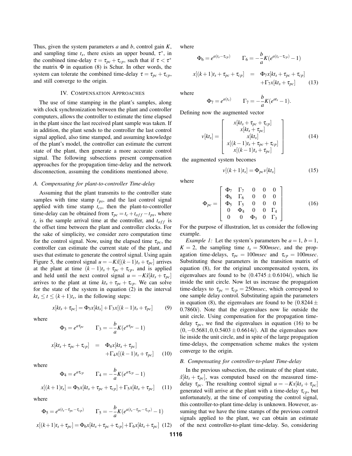Thus, given the system parameters *a* and *b*, control gain *K*, and sampling time  $t_s$ , there exists an upper bound,  $\tau^*$ , in the combined time-delay  $\tau = \tau_{pc} + \tau_{cp}$ , such that if  $\tau < \tau^*$ the matrix  $\Phi$  in equation (8) is Schur. In other words, the system can tolerate the combined time-delay  $\tau = \tau_{pc} + \tau_{cp}$ , and still converge to the origin.

# IV. COMPENSATION APPROACHES

The use of time stamping in the plant's samples, along with clock synchronization between the plant and controller computers, allows the controller to estimate the time elapsed in the plant since the last received plant sample was taken. If in addition, the plant sends to the controller the last control signal applied, also time stamped, and assuming knowledge of the plant's model, the controller can estimate the current state of the plant, then generate a more accurate control signal. The following subsections present compensation approaches for the propagation time-delay and the network disconnection, assuming the conditions mentioned above.

# *A. Compensating for plant-to-controller Time-delay*

Assuming that the plant transmits to the controller state samples with time stamp *tps*, and the last control signal applied with time stamp *tcs*, then the plant-to-controller time-delay can be obtained from  $\tau_{pc} = t_c + t_{off} - t_{ps}$ , where  $t_c$  is the sample arrival time at the controller, and  $t_{off}$  is the offset time between the plant and controller clocks. For the sake of simplicity, we consider zero computation time for the control signal. Now, using the elapsed time  $\tau_{pc}$ , the controller can estimate the current state of the plant, and uses that estimate to generate the control signal. Using again Figure 5, the control signal  $u = -K\hat{x}[(k-1)t_s + \tau_{pc}]$  arrives at the plant at time  $(k-1)t_s + \tau_{pc} + \tau_{cp}$ , and is applied and held until the next control signal  $u = -K\hat{x}[kt_s + \tau_{pc}]$ arrives to the plant at time  $kt_s + \tau_{pc} + \tau_{cp}$ . We can solve for the state of the system in equation (2) in the interval  $kt_s \le t \le (k+1)t_s$ , in the following steps:

$$
x[kt_s + \tau_{pc}] = \Phi_3 x[kt_s] + \Gamma_3 x[(k-1)t_s + \tau_{pc}] \tag{9}
$$

where

$$
\Phi_3 = e^{a\tau_{pc}} \qquad \Gamma_3 = -\frac{b}{a}K(e^{a\tau_{pc}} - 1)
$$

$$
x[kt_s + \tau_{pc} + \tau_{cp}] = \Phi_4 x[kt_s + \tau_{pc}] + \Gamma_4 x[(k-1)t_s + \tau_{pc}]
$$
 (10)

where

$$
\Phi_4 = e^{a\tau_{cp}} \qquad \Gamma_4 = -\frac{b}{a} K(e^{a\tau_{cp}} - 1)
$$

$$
x[(k+1)t_s] = \Phi_5 x[kt_s + \tau_{pc} + \tau_{cp}] + \Gamma_5 x[kt_s + \tau_{pc}] \tag{11}
$$

where

$$
\Phi_5 = e^{a(t_s - \tau_{pc} - \tau_{cp})} \qquad \Gamma_5 = -\frac{b}{a} K(e^{a(t_s - \tau_{pc} - \tau_{cp})} - 1)
$$

$$
x[(k+1)t_s + \tau_{pc}] = \Phi_6 x[kt_s + \tau_{pc} + \tau_{cp}] + \Gamma_6 x[kt_s + \tau_{pc}] \tag{12}
$$

where

$$
\Phi_6 = e^{a(t_s - \tau_{cp})} \qquad \Gamma_6 = -\frac{b}{a} K(e^{a(t_s - \tau_{cp})} - 1)
$$

$$
x[(k+1)t_s + \tau_{pc} + \tau_{cp}] = \Phi_{7} x[kt_s + \tau_{pc} + \tau_{cp}] + \Gamma_{7} x[kt_s + \tau_{pc}] \qquad (13)
$$

where

$$
\Phi_7 = e^{a(t_s)} \qquad \Gamma_7 = -\frac{b}{a} K(e^{at_s} - 1).
$$

Defining now the augmented vector

$$
v[kt_s] = \begin{bmatrix} x[kt_s + \tau_{pc} + \tau_{cp}] \\ x[kt_s + \tau_{pc}] \\ x[kt_s] \\ x[(k-1)t_s + \tau_{pc} + \tau_{cp}] \\ x[(k-1)t_s + \tau_{pc}] \end{bmatrix}
$$
(14)

the augmented system becomes

$$
v[(k+1)t_s] = \Phi_{pc} v[kt_s]
$$
\n(15)

where

$$
\Phi_{pc} = \left[ \begin{array}{cccc} \Phi_7 & \Gamma_7 & 0 & 0 & 0 \\ \Phi_6 & \Gamma_6 & 0 & 0 & 0 \\ \Phi_5 & \Gamma_5 & 0 & 0 & 0 \\ 0 & \Phi_4 & 0 & 0 & \Gamma_4 \\ 0 & 0 & \Phi_3 & 0 & \Gamma_3 \end{array} \right] \tag{16}
$$

For the purpose of illustration, let us consider the following example.

*Example 1:* Let the system's parameters be  $a = 1$ ,  $b = 1$ ,  $K = 2$ , the sampling time  $t_s = 500$ *msec*, and the propagation time-delays,  $\tau_{pc} = 100$ *msec* and  $\tau_{cp} = 100$ *msec*. Substituting these parameters in the transition matrix of equation (8), for the original uncompensated system, its eigenvalues are found to be  $(0.4745 \pm 0.6104i)$ , which lie inside the unit circle. Now let us increase the propagation time-delays to  $\tau_{pc} = \tau_{cp} = 250$ *msec*, which correspond to one sample delay control. Substituting again the parameters in equation (8), the eigenvalues are found to be (0.8244<sup>±</sup> <sup>0</sup>.7860*i*). Note that the eigenvalues now lie outside the unit circle. Using compensation for the propagation timedelay  $\tau_{pc}$ , we find the eigenvalues in equation (16) to be (0,−0.5681,0,0.<sup>5403</sup> <sup>±</sup> <sup>0</sup>.6614*i*). All the eigenvalues now lie inside the unit circle, and in spite of the large propagation time-delays, the compensation scheme makes the system converge to the origin.

# *B. Compensating for controller-to-plant Time-delay*

In the previous subsection, the estimate of the plant state,  $\hat{x}[kt_s + \tau_{pc}]$ , was computed based on the measured timedelay  $\tau_{pc}$ . The resulting control signal  $u = -Kx[kt_s + \tau_{pc}]$ generated will arrive at the plant with a time-delay  $\tau_{cp}$ , but unfortunately, at the time of computing the control signal, this controller-to-plant time-delay is unknown. However, assuming that we have the time stamps of the previous control signals applied to the plant, we can obtain an estimate of the next controller-to-plant time-delay. So, considering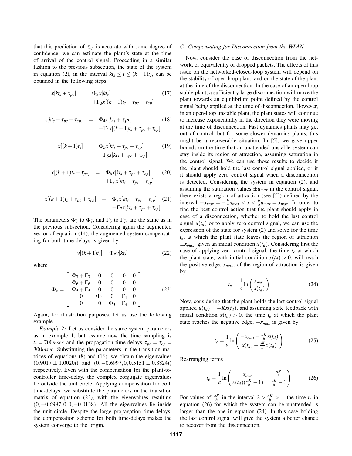that this prediction of  $\tau_{cp}$  is accurate with some degree of confidence, we can estimate the plant's state at the time of arrival of the control signal. Proceeding in a similar fashion to the previous subsection, the state of the system in equation (2), in the interval  $kt_s \le t \le (k+1)t_s$ , can be obtained in the following steps:

$$
x[kt_s + \tau_{pc}] = \Phi_3 x[kt_s] + \Gamma_3 x[(k-1)t_s + \tau_{pc} + \tau_{cp}]
$$
\n(17)

$$
x[kt_s + \tau_{pc} + \tau_{cp}] = \Phi_{4}x[kt_s + \tau pc]
$$
\n
$$
+ \Gamma_{4}x[(k-1)t_s + \tau_{pc} + \tau_{cp}]
$$
\n(18)

$$
x[(k+1)t_s] = \Phi_5 x[kt_s + \tau_{pc} + \tau_{cp}]
$$
\n
$$
+ \Gamma_5 x[kt_s + \tau_{pc} + \tau_{cp}]
$$
\n(19)

$$
x[(k+1)ts + \tau_{pc}] = \Phi_{6}x[kts + \tau_{pc} + \tau_{cp}]
$$
 (20)  
+
$$
\Gamma_{6}x[kts + \tau_{pc} + \tau_{cp}]
$$

$$
x[(k+1)t_s + \tau_{pc} + \tau_{cp}] = \Phi_7 x[kt_s + \tau_{pc} + \tau_{cp}] \quad (21)
$$

$$
+ \Gamma_7 x[kt_s + \tau_{pc} + \tau_{cp}]
$$

The parameters  $\Phi_3$  to  $\Phi_7$ , and  $\Gamma_3$  to  $\Gamma_7$ , are the same as in the previous subsection. Considering again the augmented vector of equation (14), the augmented system compensating for both time-delays is given by:

$$
v[(k+1)t_s] = \Phi_{\tau} v[kt_s]
$$
 (22)

where

$$
\Phi_{\tau} = \begin{bmatrix}\n\Phi_7 + \Gamma_7 & 0 & 0 & 0 & 0 \\
\Phi_6 + \Gamma_6 & 0 & 0 & 0 & 0 \\
\Phi_5 + \Gamma_5 & 0 & 0 & 0 & 0 \\
0 & \Phi_4 & 0 & \Gamma_4 & 0 \\
0 & 0 & \Phi_3 & \Gamma_3 & 0\n\end{bmatrix}
$$
\n(23)

Again, for illustration purposes, let us use the following example.

*Example 2:* Let us consider the same system parameters as in example 1, but assume now the time sampling is  $t_s = 700$ *msec* and the propagation time-delays  $\tau_{pc} = \tau_{cp}$ 300*msec*. Substituting the parameters in the transition matrices of equations (8) and (16), we obtain the eigenvalues  $(0.9017 \pm 1.0020i)$  and  $(0,-0.6997,0,0.5151 \pm 0.8824i)$ respectively. Even with the compensation for the plant-tocontroller time-delay, the complex conjugate eigenvalues lie outside the unit circle. Applying compensation for both time-delays, we substitute the parameters in the transition matrix of equation (23), with the eigenvalues resulting (0,−0.6997,0,0,−0.0138). All the eigenvalues lie inside the unit circle. Despite the large propagation time-delays, the compensation scheme for both time-delays makes the system converge to the origin.

## *C. Compensating for Disconnection from the WLAN*

Now, consider the case of disconnection from the network, or equivalently of dropped packets. The effects of this issue on the networked-closed-loop system will depend on the stability of open-loop plant, and on the state of the plant at the time of the disconnection. In the case of an open-loop stable plant, a sufficiently large disconnection will move the plant towards an equilibrium point defined by the control signal being applied at the time of disconnection. However, in an open-loop unstable plant, the plant states will continue to increase exponentially in the direction they were moving at the time of disconnection. Fast dynamics plants may get out of control, but for some slower dynamics plants, this might be a recoverable situation. In [5], we gave upper bounds on the time that an unattended unstable system can stay inside its region of attraction, assuming saturation in the control signal. We can use those results to decide if the plant should hold the last control signal applied, or if it should apply zero control signal when a disconnection is detected. Considering the system in equation (2), and assuming the saturation values  $\pm u_{max}$  in the control signal, there exists a region of attraction (see [5]) defined by the interval  $-x_{max} = -\frac{b}{a} u_{max} < x < \frac{b}{a} u_{max} = x_{max}$ . In order to find the best control action that the plant should apply in find the best control action that the plant should apply in case of a disconnection, whether to hold the last control signal  $u(t_d)$  or to apply zero control signal, we can use the expression of the state for system (2) and solve for the time *te*, at which the plant state leaves the region of attraction  $\pm x_{max}$ , given an initial condition  $x(t_d)$ . Considering first the case of applying zero control signal, the time  $t_e$  at which the plant state, with initial condition  $x(t_d) > 0$ , will reach the positive edge, *xmax*, of the region of attraction is given by

$$
t_e = \frac{1}{a} \ln \left( \frac{x_{max}}{x(t_d)} \right) \tag{24}
$$

Now, considering that the plant holds the last control signal applied  $u(t_d) = -Kx(t_d)$ , and assuming state feedback with initial condition  $x(t_d) > 0$ , the time  $t_e$  at which the plant state reaches the negative edge,  $-x_{max}$  is given by

$$
t_e = \frac{1}{a} \ln \left( \frac{-x_{max} - \frac{aK}{b} x(t_d)}{x(t_d) - \frac{aK}{b} x(t_d)} \right) \tag{25}
$$

Rearranging terms

$$
t_e = \frac{1}{a} \ln \left( \frac{x_{max}}{x(t_d) \left( \frac{aK}{b} - 1 \right)} + \frac{\frac{aK}{b}}{\frac{aK}{b} - 1} \right) \tag{26}
$$

For values of  $\frac{aK}{b}$  in the interval  $2 > \frac{aK}{b} > 1$ , the time  $t_e$  in equation (26) for which the system can be unattended is larger than the one in equation (24). In this case holding the last control signal will give the system a better chance to recover from the disconnection.